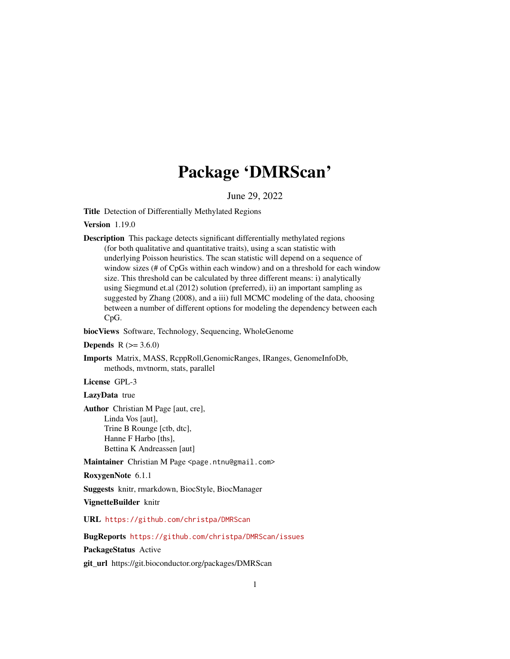# Package 'DMRScan'

June 29, 2022

<span id="page-0-0"></span>Title Detection of Differentially Methylated Regions

Version 1.19.0

Description This package detects significant differentially methylated regions (for both qualitative and quantitative traits), using a scan statistic with underlying Poisson heuristics. The scan statistic will depend on a sequence of window sizes (# of CpGs within each window) and on a threshold for each window size. This threshold can be calculated by three different means: i) analytically using Siegmund et.al (2012) solution (preferred), ii) an important sampling as suggested by Zhang (2008), and a iii) full MCMC modeling of the data, choosing between a number of different options for modeling the dependency between each CpG.

biocViews Software, Technology, Sequencing, WholeGenome

**Depends** R  $(>= 3.6.0)$ 

Imports Matrix, MASS, RcppRoll,GenomicRanges, IRanges, GenomeInfoDb, methods, mvtnorm, stats, parallel

License GPL-3

LazyData true

Author Christian M Page [aut, cre], Linda Vos [aut], Trine B Rounge [ctb, dtc], Hanne F Harbo [ths], Bettina K Andreassen [aut]

Maintainer Christian M Page <page.ntnu@gmail.com>

RoxygenNote 6.1.1

Suggests knitr, rmarkdown, BiocStyle, BiocManager

VignetteBuilder knitr

URL <https://github.com/christpa/DMRScan>

BugReports <https://github.com/christpa/DMRScan/issues>

PackageStatus Active

git\_url https://git.bioconductor.org/packages/DMRScan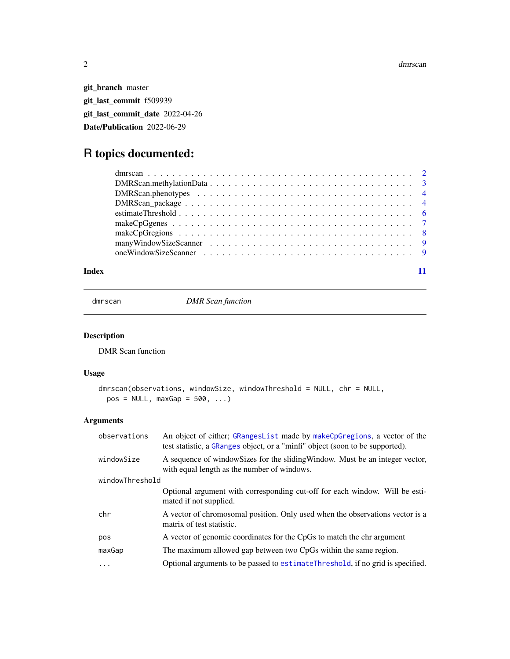<span id="page-1-0"></span>git\_branch master git\_last\_commit f509939 git\_last\_commit\_date 2022-04-26 Date/Publication 2022-06-29

# R topics documented:

#### **Index** [11](#page-10-0)

<span id="page-1-1"></span>dmrscan *DMR Scan function*

# Description

DMR Scan function

# Usage

```
dmrscan(observations, windowSize, windowThreshold = NULL, chr = NULL,
 pos = NULL, maxGap = 500, ...)
```
# Arguments

| observations    | An object of either; GRangesList made by makeCpGregions, a vector of the<br>test statistic, a GRanges object, or a "minfi" object (soon to be supported). |
|-----------------|-----------------------------------------------------------------------------------------------------------------------------------------------------------|
| windowSize      | A sequence of window Sizes for the sliding Window. Must be an integer vector,<br>with equal length as the number of windows.                              |
| windowThreshold |                                                                                                                                                           |
|                 | Optional argument with corresponding cut-off for each window. Will be esti-<br>mated if not supplied.                                                     |
| chr             | A vector of chromosomal position. Only used when the observations vector is a<br>matrix of test statistic.                                                |
| pos             | A vector of genomic coordinates for the CpGs to match the chr argument                                                                                    |
| maxGap          | The maximum allowed gap between two CpGs within the same region.                                                                                          |
| .               | Optional arguments to be passed to estimate Threshold, if no grid is specified.                                                                           |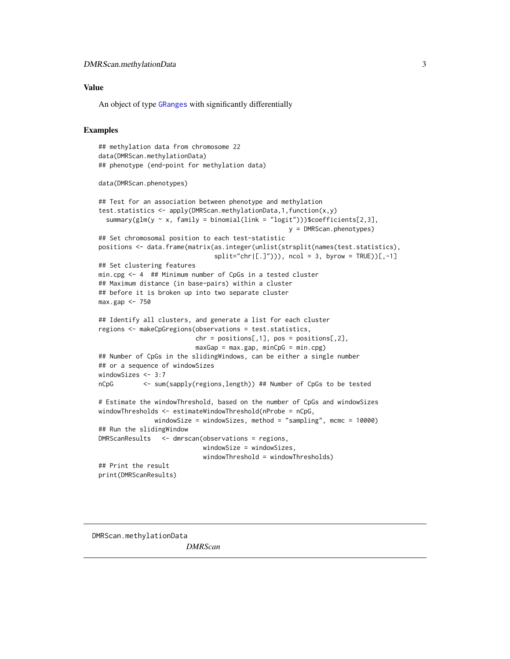#### <span id="page-2-0"></span>Value

An object of type [GRanges](#page-0-0) with significantly differentially

#### Examples

```
## methylation data from chromosome 22
data(DMRScan.methylationData)
## phenotype (end-point for methylation data)
data(DMRScan.phenotypes)
## Test for an association between phenotype and methylation
test.statistics <- apply(DMRScan.methylationData,1,function(x,y)
 summary(glm(y \sim x, family = binomial(link = "logit")))$coefficients[2,3],
                                                   y = DMRScan.phenotypes)
## Set chromosomal position to each test-statistic
positions <- data.frame(matrix(as.integer(unlist(strsplit(names(test.statistics),
                               split='chr([.]")), ncol = 3, byrow = TRUE))[,-1]
## Set clustering features
min.cpg <- 4 ## Minimum number of CpGs in a tested cluster
## Maximum distance (in base-pairs) within a cluster
## before it is broken up into two separate cluster
max.gap <- 750
## Identify all clusters, and generate a list for each cluster
regions <- makeCpGregions(observations = test.statistics,
                          chr = positions[, 1], pos = positions[, 2],maxGap = max.gap, minCpG = min.cpg)
## Number of CpGs in the slidingWindows, can be either a single number
## or a sequence of windowSizes
windowSizes <- 3:7
nCpG <- sum(sapply(regions,length)) ## Number of CpGs to be tested
# Estimate the windowThreshold, based on the number of CpGs and windowSizes
windowThresholds <- estimateWindowThreshold(nProbe = nCpG,
               windowSize = windowSizes, method = "sampling", mcmc = 10000)
## Run the slidingWindow
DMRScanResults <- dmrscan(observations = regions,
                            windowSize = windowSizes,
                            windowThreshold = windowThresholds)
## Print the result
print(DMRScanResults)
```
DMRScan.methylationData

*DMRScan*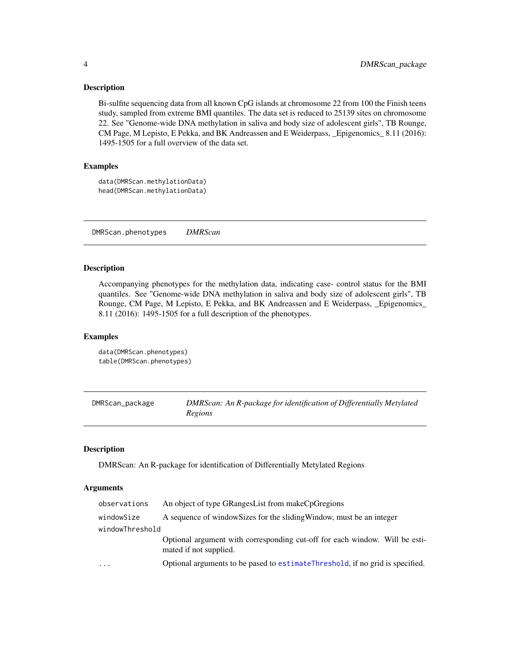#### <span id="page-3-0"></span>Description

Bi-sulfite sequencing data from all known CpG islands at chromosome 22 from 100 the Finish teens study, sampled from extreme BMI quantiles. The data set is reduced to 25139 sites on chromosome 22. See "Genome-wide DNA methylation in saliva and body size of adolescent girls", TB Rounge, CM Page, M Lepisto, E Pekka, and BK Andreassen and E Weiderpass, \_Epigenomics\_ 8.11 (2016): 1495-1505 for a full overview of the data set.

# Examples

```
data(DMRScan.methylationData)
head(DMRScan.methylationData)
```
DMRScan.phenotypes *DMRScan*

#### Description

Accompanying phenotypes for the methylation data, indicating case- control status for the BMI quantiles. See "Genome-wide DNA methylation in saliva and body size of adolescent girls", TB Rounge, CM Page, M Lepisto, E Pekka, and BK Andreassen and E Weiderpass, \_Epigenomics\_ 8.11 (2016): 1495-1505 for a full description of the phenotypes.

#### Examples

```
data(DMRScan.phenotypes)
table(DMRScan.phenotypes)
```

| DMRScan_package | DMRScan: An R-package for identification of Differentially Metylated |
|-----------------|----------------------------------------------------------------------|
|                 | Regions                                                              |

#### Description

DMRScan: An R-package for identification of Differentially Metylated Regions

# Arguments

| A sequence of window Sizes for the sliding Window, must be an integer<br>windowSize<br>windowThreshold<br>mated if not supplied.<br>$\cdots$ | observations | An object of type GRangesList from makeCpGregions                              |
|----------------------------------------------------------------------------------------------------------------------------------------------|--------------|--------------------------------------------------------------------------------|
|                                                                                                                                              |              |                                                                                |
|                                                                                                                                              |              |                                                                                |
|                                                                                                                                              |              | Optional argument with corresponding cut-off for each window. Will be esti-    |
|                                                                                                                                              |              | Optional arguments to be pased to estimate Threshold, if no grid is specified. |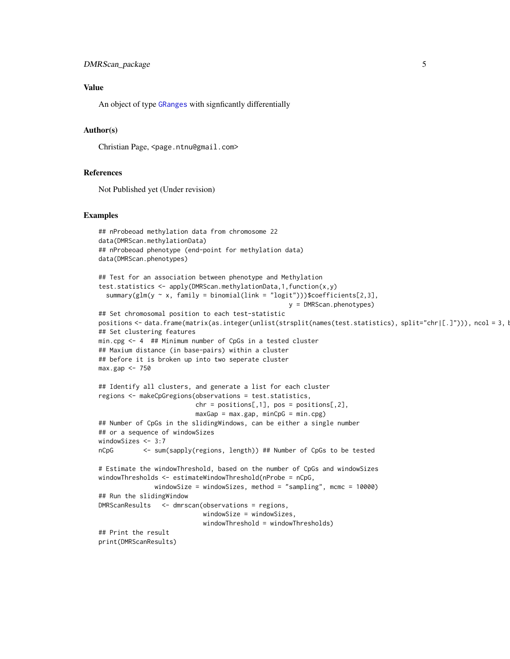#### <span id="page-4-0"></span>Value

An object of type [GRanges](#page-0-0) with signficantly differentially

#### Author(s)

Christian Page, <page.ntnu@gmail.com>

#### References

Not Published yet (Under revision)

#### Examples

```
## nProbeoad methylation data from chromosome 22
data(DMRScan.methylationData)
## nProbeoad phenotype (end-point for methylation data)
data(DMRScan.phenotypes)
## Test for an association between phenotype and Methylation
test.statistics <- apply(DMRScan.methylationData,1,function(x,y)
  summary(glm(y \sim x, family = binomial(link = "logit")))$coefficients[2,3],
                                                   y = DMRScan.phenotypes)
## Set chromosomal position to each test-statistic
positions <- data.frame(matrix(as.integer(unlist(strsplit(names(test.statistics), split="chr|[.]"))), ncol = 3, l
## Set clustering features
min.cpg <- 4 ## Minimum number of CpGs in a tested cluster
## Maxium distance (in base-pairs) within a cluster
## before it is broken up into two seperate cluster
max.gap <- 750
## Identify all clusters, and generate a list for each cluster
regions <- makeCpGregions(observations = test.statistics,
                          chr = positions[, 1], pos = positions[, 2],maxGap = max.gap, minCpG = min.cpg)## Number of CpGs in the slidingWindows, can be either a single number
## or a sequence of windowSizes
windowSizes <- 3:7
nCpG <- sum(sapply(regions, length)) ## Number of CpGs to be tested
# Estimate the windowThreshold, based on the number of CpGs and windowSizes
windowThresholds <- estimateWindowThreshold(nProbe = nCpG,
               windowSize = windowSizes, method = "sampling", mcmc = 10000)
## Run the slidingWindow
DMRScanResults <- dmrscan(observations = regions,
                            windowSize = windowSizes,
                            windowThreshold = windowThresholds)
## Print the result
print(DMRScanResults)
```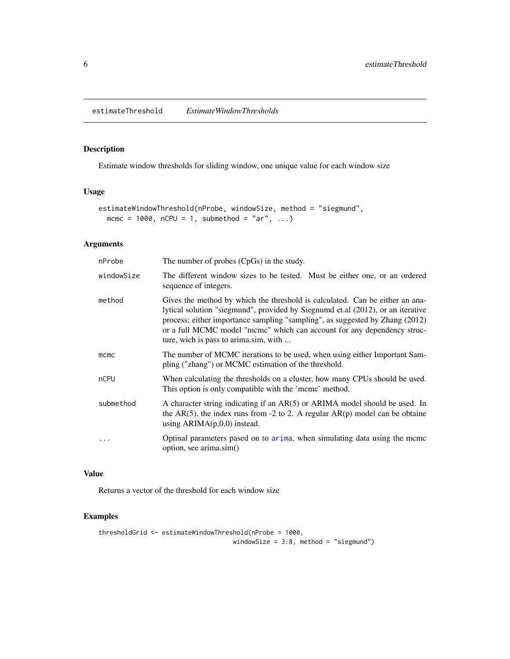# <span id="page-5-1"></span><span id="page-5-0"></span>Description

Estimate window thresholds for sliding window, one unique value for each window size

# Usage

```
estimateWindowThreshold(nProbe, windowSize, method = "siegmund",
 mcmc = 1000, nCPU = 1, submethod = "ar", ...)
```
# Arguments

| nProbe     | The number of probes (CpGs) in the study.                                                                                                                                                                                                                                                                                                                           |
|------------|---------------------------------------------------------------------------------------------------------------------------------------------------------------------------------------------------------------------------------------------------------------------------------------------------------------------------------------------------------------------|
| windowSize | The different window sizes to be tested. Must be either one, or an ordered<br>sequence of integers.                                                                                                                                                                                                                                                                 |
| method     | Gives the method by which the threshold is calculated. Can be either an ana-<br>lytical solution "siegmund", provided by Siegnumd et.al (2012), or an iterative<br>process; either importance sampling "sampling", as suggested by Zhang (2012)<br>or a full MCMC model "mcmc" which can account for any dependency struc-<br>ture, wich is pass to arima.sim, with |
| mcmc       | The number of MCMC iterations to be used, when using either Important Sam-<br>pling ("zhang") or MCMC estimation of the threshold.                                                                                                                                                                                                                                  |
| nCPU       | When calculating the thresholds on a cluster, how many CPUs should be used.<br>This option is only compatible with the 'mcmc' method.                                                                                                                                                                                                                               |
| submethod  | A character string indicating if an AR(5) or ARIMA model should be used. In<br>the AR(5), the index runs from -2 to 2. A regular $AR(p)$ model can be obtaine<br>using $ARIMA(p,0,0)$ instead.                                                                                                                                                                      |
| .          | Optinal parameters pased on to arima, when simulating data using the mcmc<br>option, see arima.sim()                                                                                                                                                                                                                                                                |

## Value

Returns a vector of the threshold for each window size

# Examples

```
thresholdGrid <- estimateWindowThreshold(nProbe = 1000,
                                    windowSize = 3:8, method = "siegmund")
```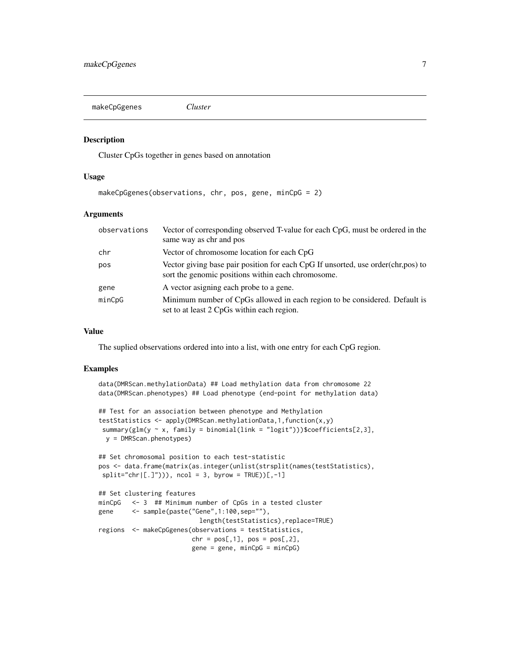<span id="page-6-0"></span>makeCpGgenes *Cluster*

#### Description

Cluster CpGs together in genes based on annotation

#### Usage

makeCpGgenes(observations, chr, pos, gene, minCpG = 2)

#### Arguments

| observations | Vector of corresponding observed T-value for each CpG, must be ordered in the<br>same way as chr and pos                                 |
|--------------|------------------------------------------------------------------------------------------------------------------------------------------|
| chr          | Vector of chromosome location for each CpG                                                                                               |
| pos          | Vector giving base pair position for each CpG If unsorted, use order (chr, pos) to<br>sort the genomic positions within each chromosome. |
| gene         | A vector asigning each probe to a gene.                                                                                                  |
| minCpG       | Minimum number of CpGs allowed in each region to be considered. Default is<br>set to at least 2 CpGs within each region.                 |

#### Value

The suplied observations ordered into into a list, with one entry for each CpG region.

#### Examples

```
data(DMRScan.methylationData) ## Load methylation data from chromosome 22
data(DMRScan.phenotypes) ## Load phenotype (end-point for methylation data)
## Test for an association between phenotype and Methylation
testStatistics <- apply(DMRScan.methylationData,1,function(x,y)
summary(glm(y ~ x, family = binomial(link = "logit")))$coefficients[2,3],
 y = DMRScan.phenotypes)
## Set chromosomal position to each test-statistic
pos <- data.frame(matrix(as.integer(unlist(strsplit(names(testStatistics),
split="chr([.]")), ncol = 3, byrow = TRUE))[,-1]
## Set clustering features
minCpG <- 3 ## Minimum number of CpGs in a tested cluster
gene <- sample(paste("Gene",1:100,sep=""),
                          length(testStatistics),replace=TRUE)
regions <- makeCpGgenes(observations = testStatistics,
                        chr = pos[, 1], pos = pos[, 2],gene = gene, minCpG = minCpG)
```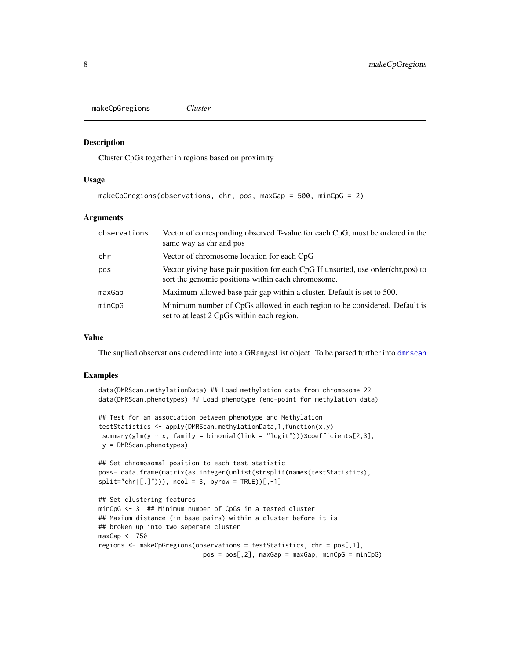<span id="page-7-1"></span><span id="page-7-0"></span>makeCpGregions *Cluster*

#### Description

Cluster CpGs together in regions based on proximity

#### Usage

```
makeCpGregions(observations, chr, pos, maxGap = 500, minCpG = 2)
```
#### Arguments

| observations | Vector of corresponding observed T-value for each CpG, must be ordered in the<br>same way as chr and pos                                 |
|--------------|------------------------------------------------------------------------------------------------------------------------------------------|
| chr          | Vector of chromosome location for each CpG                                                                                               |
| pos          | Vector giving base pair position for each CpG If unsorted, use order (chr, pos) to<br>sort the genomic positions within each chromosome. |
| maxGap       | Maximum allowed base pair gap within a cluster. Default is set to 500.                                                                   |
| minCpG       | Minimum number of CpGs allowed in each region to be considered. Default is<br>set to at least 2 CpGs within each region.                 |

#### Value

The suplied observations ordered into into a GRangesList object. To be parsed further into [dmrscan](#page-1-1)

#### Examples

```
data(DMRScan.methylationData) ## Load methylation data from chromosome 22
data(DMRScan.phenotypes) ## Load phenotype (end-point for methylation data)
## Test for an association between phenotype and Methylation
testStatistics <- apply(DMRScan.methylationData,1,function(x,y)
 summary(glm(y \sim x, family = binomial(link = "logit")))$coefficients[2,3],
 y = DMRScan.phenotypes)
## Set chromosomal position to each test-statistic
pos<- data.frame(matrix(as.integer(unlist(strsplit(names(testStatistics),
split='chr([.]")), ncol = 3, byrow = TRUE)[,-1]## Set clustering features
minCpG <- 3 ## Minimum number of CpGs in a tested cluster
## Maxium distance (in base-pairs) within a cluster before it is
## broken up into two seperate cluster
maxGap < -750regions <- makeCpGregions(observations = testStatistics, chr = pos[,1],
```
 $pos = pos[, 2], maxGap = maxGap, minCpG = minCpG)$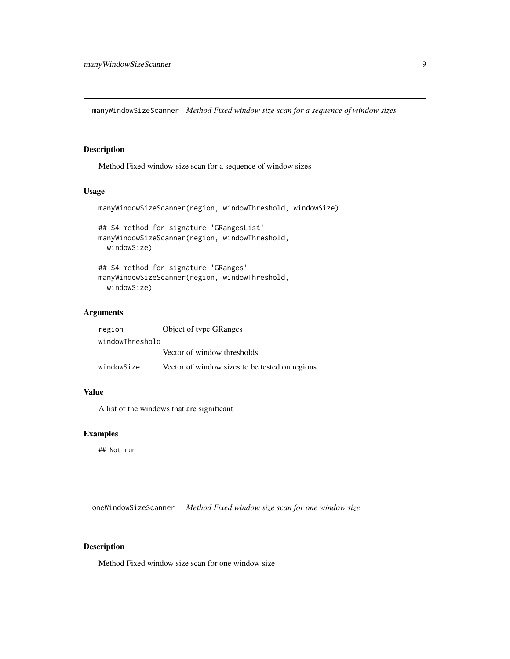<span id="page-8-0"></span>manyWindowSizeScanner *Method Fixed window size scan for a sequence of window sizes*

# Description

Method Fixed window size scan for a sequence of window sizes

# Usage

```
manyWindowSizeScanner(region, windowThreshold, windowSize)
## S4 method for signature 'GRangesList'
manyWindowSizeScanner(region, windowThreshold,
 windowSize)
## S4 method for signature 'GRanges'
manyWindowSizeScanner(region, windowThreshold,
```

```
windowSize)
```
# Arguments

| region          | <b>Object of type GRanges</b>                  |
|-----------------|------------------------------------------------|
| windowThreshold |                                                |
|                 | Vector of window thresholds                    |
| windowSize      | Vector of window sizes to be tested on regions |

#### Value

A list of the windows that are significant

# Examples

## Not run

oneWindowSizeScanner *Method Fixed window size scan for one window size*

## Description

Method Fixed window size scan for one window size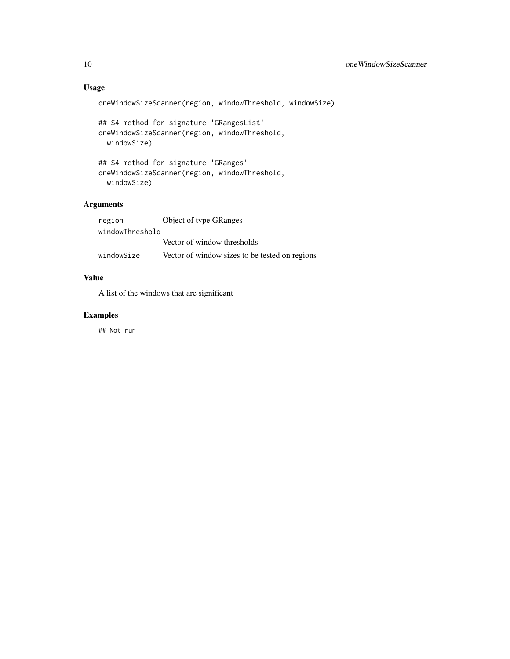# Usage

```
oneWindowSizeScanner(region, windowThreshold, windowSize)
```

```
## S4 method for signature 'GRangesList'
oneWindowSizeScanner(region, windowThreshold,
 windowSize)
```

```
## S4 method for signature 'GRanges'
oneWindowSizeScanner(region, windowThreshold,
 windowSize)
```
# Arguments

| region          | <b>Object of type GRanges</b>                  |
|-----------------|------------------------------------------------|
| windowThreshold |                                                |
|                 | Vector of window thresholds                    |
| windowSize      | Vector of window sizes to be tested on regions |

# Value

A list of the windows that are significant

# Examples

## Not run